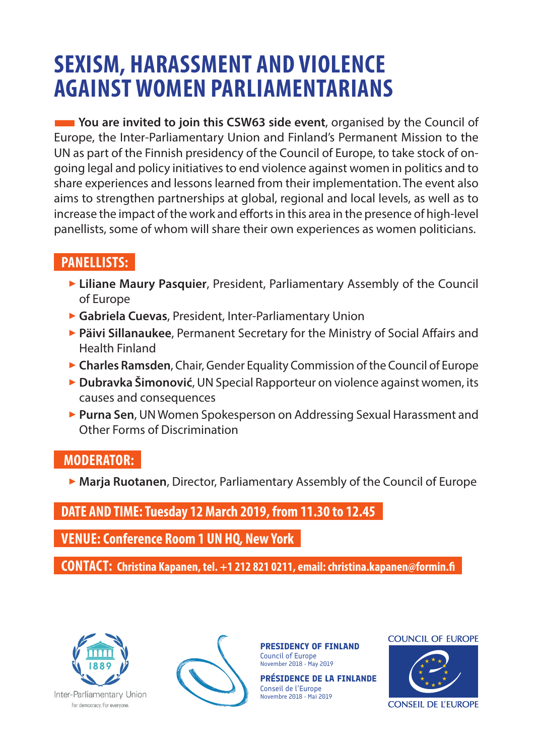# **SEXISM, HARASSMENT AND VIOLENCE AGAINST WOMEN PARLIAMENTARIANS**

**THE YOU are invited to join this CSW63 side event**, organised by the Council of Europe, the Inter-Parliamentary Union and Finland's Permanent Mission to the UN as part of the Finnish presidency of the Council of Europe, to take stock of ongoing legal and policy initiatives to end violence against women in politics and to share experiences and lessons learned from their implementation. The event also aims to strengthen partnerships at global, regional and local levels, as well as to increase the impact of the work and efforts in this area in the presence of high-level panellists, some of whom will share their own experiences as women politicians.

## **PANELLISTS:**

- **Elliane Maury Pasquier**, President, Parliamentary Assembly of the Council of Europe
- 3 **Gabriela Cuevas**, President, Inter-Parliamentary Union
- 3 **Päivi Sillanaukee**, Permanent Secretary for the Ministry of Social Affairs and Health Finland
- **Charles Ramsden**, Chair, Gender Equality Commission of the Council of Europe
- **Dubravka Šimonović**, UN Special Rapporteur on violence against women, its causes and consequences
- **Purna Sen**, UN Women Spokesperson on Addressing Sexual Harassment and Other Forms of Discrimination

### **MODERATOR:**

3 **Marja Ruotanen**, Director, Parliamentary Assembly of the Council of Europe

### **DATE AND TIME: Tuesday 12 March 2019, from 11.30 to 12.45**

**VENUE: Conference Room 1 UN HQ, New York**

**CONTACT: Christina Kapanen, tel. +1 212 821 0211, email: christina.kapanen@formin.fi**



Inter-Parliamentary Union For democracy. For everyone.



**PRESIDENCY OF FINLAND** Council of Europe November 2018 - May 2019

**PRÉSIDENCE DE LA FINLANDE** Conseil de l'Europe Novembre 2018 - Mai 2019





**CONSEIL DE L'EUROPE**